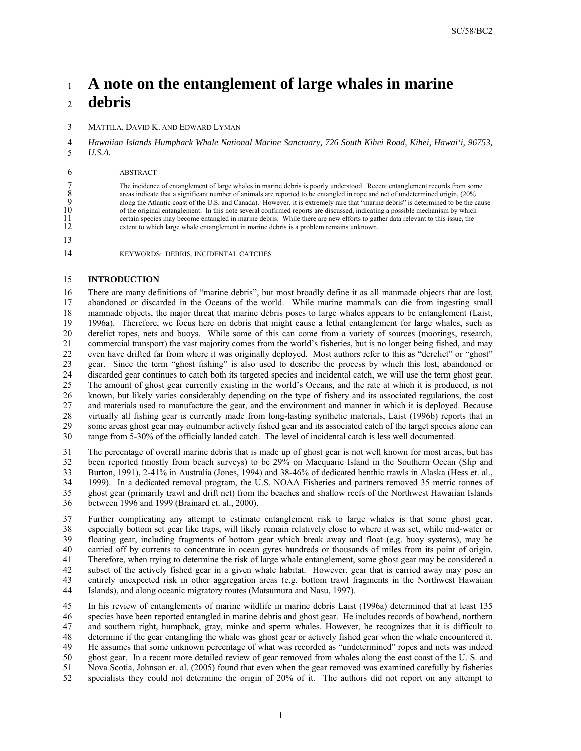# <sup>1</sup>**A note on the entanglement of large whales in marine**  <sup>2</sup>**debris**

3 MATTILA, DAVID K. AND EDWARD LYMAN

 4 *Hawaiian Islands Humpback Whale National Marine Sanctuary, 726 South Kihei Road, Kihei, Hawai'i, 96753,*  5 *U.S.A.* 

#### 6 ABSTRACT

 8 areas indicate that a significant number of animals are reported to be entangled in rope and net of undetermined origin, (20% 12 extent to which large whale entanglement in marine debris is a problem remains unknown. 7 The incidence of entanglement of large whales in marine debris is poorly understood. Recent entanglement records from some areas indicate that a significant number of animals are reported to be entangled in rope and net along the Atlantic coast of the U.S. and Canada). However, it is extremely rare that "marine debris" is determined to be the cause of the original entanglement. In this note several confirmed reports are discussed, indicating a possible mechanism by which certain species may become entangled in marine debris. While there are new efforts to gather data relevant to this issue, the

13

 $\frac{10}{11}$ 

14 KEYWORDS: DEBRIS, INCIDENTAL CATCHES

#### 15 **INTRODUCTION**

 18 manmade objects, the major threat that marine debris poses to large whales appears to be entanglement (Laist, 21 commercial transport) the vast majority comes from the world's fisheries, but is no longer being fished, and may 24 discarded gear continues to catch both its targeted species and incidental catch, we will use the term ghost gear. The amount of ghost gear currently existing in the world's Oceans, and the rate at which it is produced, is not 26 known, but likely varies considerably depending on the type of fishery and its associated regulations, the cost 27 and materials used to manufacture the gear, and the environment and manner in which it is deployed. Because 28 virtually all fishing gear is currently made from long-lasting synthetic materials, Laist (1996b) reports that in range from 5-30% of the officially landed catch. The level of incidental catch is less well documented. 20 25 30 16 There are many definitions of "marine debris", but most broadly define it as all manmade objects that are lost, 17 abandoned or discarded in the Oceans of the world. While marine mammals can die from ingesting small 19 1996a). Therefore, we focus here on debris that might cause a lethal entanglement for large whales, such as derelict ropes, nets and buoys. While some of this can come from a variety of sources (moorings, research, 22 even have drifted far from where it was originally deployed. Most authors refer to this as "derelict" or "ghost" 23 gear. Since the term "ghost fishing" is also used to describe the process by which this lost, abandoned or discarded gear continues to catch both its targeted species and incidental catch, we will use the term ghost gea 29 some areas ghost gear may outnumber actively fished gear and its associated catch of the target species alone can

 31 The percentage of overall marine debris that is made up of ghost gear is not well known for most areas, but has 32 been reported (mostly from beach surveys) to be 29% on Macquarie Island in the Southern Ocean (Slip and ghost gear (primarily trawl and drift net) from the beaches and shallow reefs of the Northwest Hawaiian Islands 35 33 Burton, 1991), 2-41% in Australia (Jones, 1994) and 38-46% of dedicated benthic trawls in Alaska (Hess et. al., 34 1999). In a dedicated removal program, the U.S. NOAA Fisheries and partners removed 35 metric tonnes of 36 between 1996 and 1999 (Brainard et. al., 2000).

 39 floating gear, including fragments of bottom gear which break away and float (e.g. buoy systems), may be carried off by currents to concentrate in ocean gyres hundreds or thousands of miles from its point of origin. 40 37 Further complicating any attempt to estimate entanglement risk to large whales is that some ghost gear, 38 especially bottom set gear like traps, will likely remain relatively close to where it was set, while mid-water or 41 Therefore, when trying to determine the risk of large whale entanglement, some ghost gear may be considered a 42 subset of the actively fished gear in a given whale habitat. However, gear that is carried away may pose an 43 entirely unexpected risk in other aggregation areas (e.g. bottom trawl fragments in the Northwest Hawaiian 44 Islands), and along oceanic migratory routes (Matsumura and Nasu, 1997).

 In his review of entanglements of marine wildlife in marine debris Laist (1996a) determined that at least 135 46 species have been reported entangled in marine debris and ghost gear. He includes records of bowhead, northern 48 determine if the gear entangling the whale was ghost gear or actively fished gear when the whale encountered it. 49 He assumes that some unknown percentage of what was recorded as "undetermined" ropes and nets was indeed ghost gear. In a recent more detailed review of gear removed from whales along the east coast of the U. S. and 52 specialists they could not determine the origin of 20% of it. The authors did not report on any attempt to 45 50 47 and southern right, humpback, gray, minke and sperm whales. However, he recognizes that it is difficult to 51 Nova Scotia, Johnson et. al. (2005) found that even when the gear removed was examined carefully by fisheries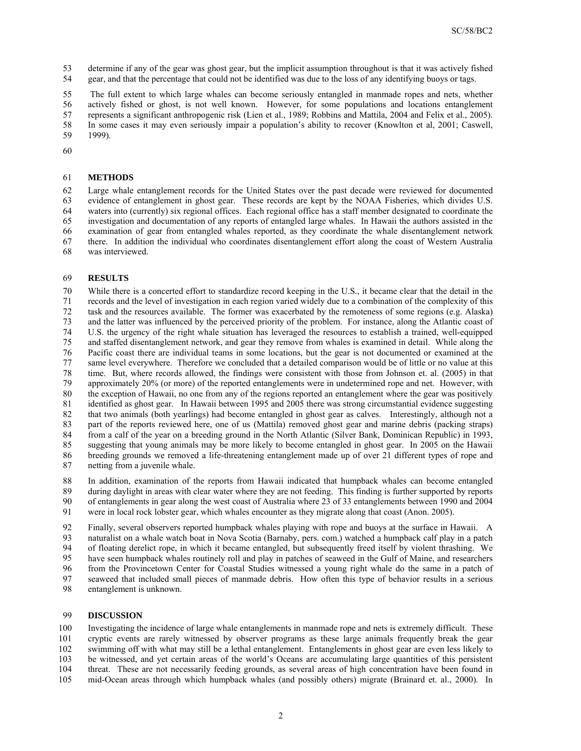54 gear, and that the percentage that could not be identified was due to the loss of any identifying buoys or tags. 53 determine if any of the gear was ghost gear, but the implicit assumption throughout is that it was actively fished

 58 In some cases it may even seriously impair a population's ability to recover (Knowlton et al, 2001; Caswell, 1999). 55 The full extent to which large whales can become seriously entangled in manmade ropes and nets, whether 56 actively fished or ghost, is not well known. However, for some populations and locations entanglement 57 represents a significant anthropogenic risk (Lien et al., 1989; Robbins and Mattila, 2004 and Felix et al., 2005). 59 1999). 61 **METHODS** 

60

 63 evidence of entanglement in ghost gear. These records are kept by the NOAA Fisheries, which divides U.S. 64 waters into (currently) six regional offices. Each regional office has a staff member designated to coordinate the 67 there. In addition the individual who coordinates disentanglement effort along the coast of Western Australia 65 62 Large whale entanglement records for the United States over the past decade were reviewed for documented investigation and documentation of any reports of entangled large whales. In Hawaii the authors assisted in the 66 examination of gear from entangled whales reported, as they coordinate the whale disentanglement network 68 was interviewed.

### 69 **RESULTS**

 74 U.S. the urgency of the right whale situation has leveraged the resources to establish a trained, well-equipped and staffed disentanglement network, and gear they remove from whales is examined in detail. While along the 76 Pacific coast there are individual teams in some locations, but the gear is not documented or examined at the 79 approximately 20% (or more) of the reported entanglements were in undetermined rope and net. However, with the exception of Hawaii, no one from any of the regions reported an entanglement where the gear was positively 81 identified as ghost gear. In Hawaii between 1995 and 2005 there was strong circumstantial evidence suggesting 82 that two animals (both yearlings) had become entangled in ghost gear as calves. Interestingly, although not a 83 part of the reports reviewed here, one of us (Mattila) removed ghost gear and marine debris (packing straps) suggesting that young animals may be more likely to become entangled in ghost gear. In 2005 on the Hawaii 86 breeding grounds we removed a life-threatening entanglement made up of over 21 different types of rope and 87 netting from a juvenile whale. 70 75 80 85 While there is a concerted effort to standardize record keeping in the U.S., it became clear that the detail in the 71 records and the level of investigation in each region varied widely due to a combination of the complexity of this 72 task and the resources available. The former was exacerbated by the remoteness of some regions (e.g. Alaska) 73 and the latter was influenced by the perceived priority of the problem. For instance, along the Atlantic coast of 77 same level everywhere. Therefore we concluded that a detailed comparison would be of little or no value at this 78 time. But, where records allowed, the findings were consistent with those from Johnson et. al. (2005) in that 84 from a calf of the year on a breeding ground in the North Atlantic (Silver Bank, Dominican Republic) in 1993,

 89 during daylight in areas with clear water where they are not feeding. This finding is further supported by reports 90 88 In addition, examination of the reports from Hawaii indicated that humpback whales can become entangled of entanglements in gear along the west coast of Australia where 23 of 33 entanglements between 1990 and 2004 91 were in local rock lobster gear, which whales encounter as they migrate along that coast (Anon. 2005).

 92 Finally, several observers reported humpback whales playing with rope and buoys at the surface in Hawaii. A 93 naturalist on a whale watch boat in Nova Scotia (Barnaby, pers. com.) watched a humpback calf play in a patch have seen humpback whales routinely roll and play in patches of seaweed in the Gulf of Maine, and researchers 96 from the Provincetown Center for Coastal Studies witnessed a young right whale do the same in a patch of 97 seaweed that included small pieces of manmade debris. How often this type of behavior results in a serious 95 94 of floating derelict rope, in which it became entangled, but subsequently freed itself by violent thrashing. We 98 entanglement is unknown.

## 99 **DISCUSSION**

 Investigating the incidence of large whale entanglements in manmade rope and nets is extremely difficult. These 101 cryptic events are rarely witnessed by observer programs as these large animals frequently break the gear 102 swimming off with what may still be a lethal entanglement. Entanglements in ghost gear are even less likely to 103 be witnessed, and yet certain areas of the world's Oceans are accumulating large quantities of this persistent 104 threat. These are not necessarily feeding grounds, as several areas of high concentration have been found in 100 105 mid-Ocean areas through which humpback whales (and possibly others) migrate (Brainard et. al., 2000). In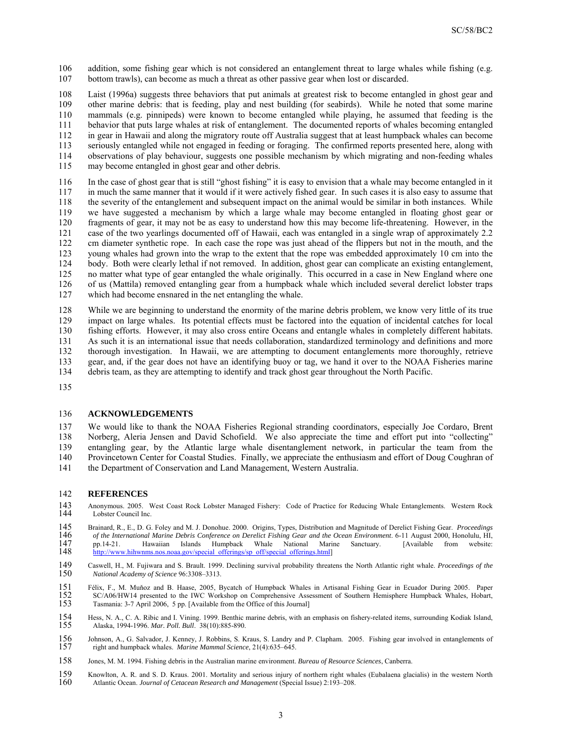106 addition, some fishing gear which is not considered an entanglement threat to large whales while fishing (e.g. 107 bottom trawls), can become as much a threat as other passive gear when lost or discarded.

 108 Laist (1996a) suggests three behaviors that put animals at greatest risk to become entangled in ghost gear and mammals (e.g. pinnipeds) were known to become entangled while playing, he assumed that feeding is the 111 behavior that puts large whales at risk of entanglement. The documented reports of whales becoming entangled 112 in gear in Hawaii and along the migratory route off Australia suggest that at least humpback whales can become may become entangled in ghost gear and other debris. 110 115 109 other marine debris: that is feeding, play and nest building (for seabirds). While he noted that some marine 113 seriously entangled while not engaged in feeding or foraging. The confirmed reports presented here, along with<br>114 observations of play behaviour, suggests one possible mechanism by which migrating and non-feeding whal 114 observations of play behaviour, suggests one possible mechanism by which migrating and non-feeding whales

 116 In the case of ghost gear that is still "ghost fishing" it is easy to envision that a whale may become entangled in it 117 in much the same manner that it would if it were actively fished gear. In such cases it is also easy to assume that 118 the severity of the entanglement and subsequent impact on the animal would be similar in both instances. While 123 young whales had grown into the wrap to the extent that the rope was embedded approximately 10 cm into the 124 body. Both were clearly lethal if not removed. In addition, ghost gear can complicate an existing entanglement, 126 of us (Mattila) removed entangling gear from a humpback whale which included several derelict lobster traps 127 which had become ensnared in the net entangling the whale. 120  $\frac{125}{126}$ 119 we have suggested a mechanism by which a large whale may become entangled in floating ghost gear or fragments of gear, it may not be as easy to understand how this may become life-threatening. However, in the 121 case of the two yearlings documented off of Hawaii, each was entangled in a single wrap of approximately 2.2 122 cm diameter synthetic rope. In each case the rope was just ahead of the flippers but not in the mouth, and the no matter what type of gear entangled the whale originally. This occurred in a case in New England where one

 129 impact on large whales. Its potential effects must be factored into the equation of incidental catches for local 134 debris team, as they are attempting to identify and track ghost gear throughout the North Pacific. 130 128 While we are beginning to understand the enormity of the marine debris problem, we know very little of its true fishing efforts. However, it may also cross entire Oceans and entangle whales in completely different habitats. 131 As such it is an international issue that needs collaboration, standardized terminology and definitions and more 132 thorough investigation. In Hawaii, we are attempting to document entanglements more thoroughly, retrieve 133 gear, and, if the gear does not have an identifying buoy or tag, we hand it over to the NOAA Fisheries marine debris team, as they are attempting to identify and track ghost gear throughout the North Pacific.

135

### 136 **ACKNOWLEDGEMENTS**

 138 Norberg, Aleria Jensen and David Schofield. We also appreciate the time and effort put into "collecting" 139 entangling gear, by the Atlantic large whale disentanglement network, in particular the team from the Provincetown Center for Coastal Studies. Finally, we appreciate the enthusiasm and effort of Doug Coughran of 141 the Department of Conservation and Land Management, Western Australia. 142 **REFERENCES**  140 137 We would like to thank the NOAA Fisheries Regional stranding coordinators, especially Joe Cordaro, Brent

- 144 Lobster Council Inc. 143 Anonymous. 2005. West Coast Rock Lobster Managed Fishery: Code of Practice for Reducing Whale Entanglements. Western Rock
- Brainard, R., E., D. G. Foley and M. J. Donohue. 2000. Origins, Types, Distribution and Magnitude of Derelict Fishing Gear. *Proceedings*  146 *of the International Marine Debris Conference on Derelict Fishing Gear and the Ocean Environment*. 6-11 August 2000, Honolulu, HI, 145<br>146 147 pp.14-21. Hawaiian Islands Humpback Whale National Marine Sanctuary. [Available from website: 148 http://www.hihwnms.nos.noaa.gov/special offerings/sp off/special offerings.html [http://www.hihwnms.nos.noaa.gov/special\\_offerings/sp\\_off/special\\_offerings.html](http://www.hihwnms.nos.noaa.gov/special_offerings/sp_off/special_offerings.html)]
- 150 149 Caswell, H., M. Fujiwara and S. Brault. 1999. Declining survival probability threatens the North Atlantic right whale. *Proceedings of the National Academy of Science* 96:3308–3313.
- 151 Félix, F., M. Muňoz and B. Haase, 2005, Bycatch of Humpback Whales in Artisanal Fishing Gear in Ecuador During 2005. Paper 152 SC/A06/HW14 presented to the IWC Workshop on Comprehensive Assessment of Southern Hemisphere Humpback Whales, Hobart, 153 Tasmania: 3-7 April 2006, 5 pp. [Available from the Office of this Journal] Tasmania: 3-7 April 2006, 5 pp. [Available from the Office of this Journal]
- 155 154 Hess, N. A., C. A. Ribic and I. Vining. 1999. Benthic marine debris, with an emphasis on fishery-related items, surrounding Kodiak Island, Alaska, 1994-1996. *Mar. Poll. Bull*. 38(10):885-890.
- 156 Johnson, A., G. Salvador, J. Kenney, J. Robbins, S. Kraus, S. Landry and P. Clapham. 2005. Fishing gear involved in entanglements of 157 right and humpback whales. *Marine Mammal Science*, 21(4):635–645.
- 158 Jones, M. M. 1994. Fishing debris in the Australian marine environment. *Bureau of Resource Sciences*, Canberra.
- Atlantic Ocean. *Journal of Cetacean Research and Management* (Special Issue) 2:193–208. 160 159 Knowlton, A. R. and S. D. Kraus. 2001. Mortality and serious injury of northern right whales (Eubalaena glacialis) in the western North